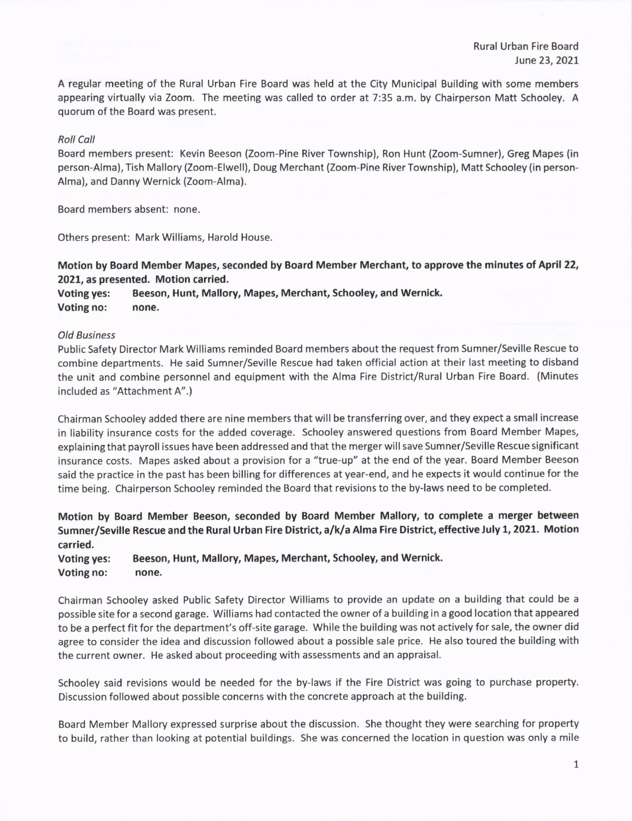A regular meeting of the Rural Urban Fire Board was held at the City Municipal Building with some members appearing virtually via Zoom. The meeting was called to order at 7:35 a.m. by Chairperson Matt Schooley. A quorum of the Board was present.

## Roll Coll

Board members present: Kevin Beeson (Zoom-Pine River Township), Ron Hunt (Zoom-Sumner), Greg Mapes (in person-Alma), Tish Mallory (Zoom-Elwell), Doug Merchant (Zoom-Pine River Township), Matt schooley (in person-Alma), and Danny Wernick (Zoom-Alma).

Board members absent: none

Others present: Mark Williams, Harold House

## Motion by Board Member Mapes, seconded by Board Member Merchant, to approve the minutes of April 22, 2021, as presented. Motion carried.

Voting yes: Beeson, Hunt, Mallory, Mapes, Merchant, Schooley, and Wernick. voting no: none.

## old Business

Public Safety Director Mark Williams reminded Board members about the request from sumner/Seville Rescue to combine departments. He said Sumner/Seville Rescue had taken official action at their last meeting to disband the unit and combine personnel and equipment with the Alma Fire District/Rural Urban Fire Board. (Minutes included as "Attachment A".)

Chairman Schooley added there are nine members that will be transferring over, and they expect a small increase in liability insurance costs for the added coverage. Schooley answered questions from Board Member Mapes, explaining that payroll issues have been addressed and that the merger will save Sumner/Seville Rescue significant insurance costs. Mapes asked about a provision for a "true-up" at the end of the year. Board Member Beeson said the practice in the past has been billing for differences at year-end, and he expects it would continue for the time being. Chairperson Schooley reminded the Board that revisions to the by-laws need to be completed.

Motion by Board Member Beeson, seconded by Board Member Mallory, to complete a merger between Sumner/Seville Rescue and the Rural Urban Fire District, a/k/a Alma Fire District, effective July 1, 2021, Motion carried.

voting yes: Beeson, Hunt, Mallory, Mapes, Merchant, Schooley, and wernick. Voting no: none.

Chairman Schooley asked Public Safety Director Williams to provide an update on a building that could be <sup>a</sup> possible site for a second garage. Williams had contacted the owner of a building in a good location that appeared to be a perfect fit for the department's off-site garage. While the building was not actively for sale, the owner did agree to consider the idea and discussion followed about a possible sale price. He also toured the building with the current owner. He asked about proceeding with assessments and an appraisal.

Schooley said revisions would be needed for the by-laws if the Fire District was going to purchase property. Discussion followed about possible concerns with the concrete approach at the building.

Board Member Mallory expressed surprise about the discussion. She thought they were searching for property to build, rather than looking at potential buildings. She was concerned the location in question was only a mile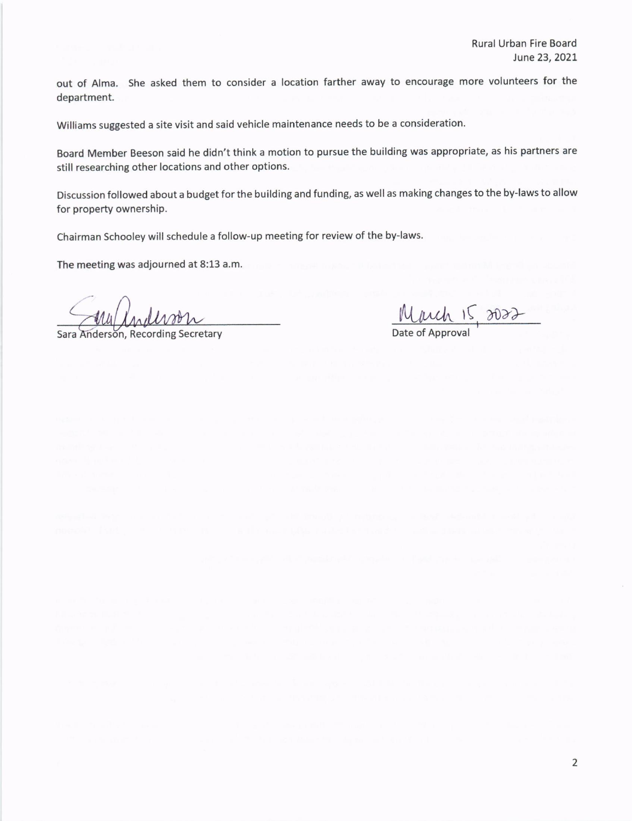out of Alma. She asked them to consider a location farther away to encourage more volunteers for the department.

Williams suggested a site visit and said vehicle maintenance needs to be a consideration.

Board Member Beeson said he didn't think a motion to pursue the building was appropriate, as his partners are still researching other locations and other options.

Discussion followed about a budget for the building and funding, as well as making changes to the by-laws to allow for property ownership.

Chairman Schooley will schedule a follow-up meeting for review of the by-laws.

The meeting was adjourned at 8:13 a.m.

Sara Anderson, Recording Secretary

 $\underline{\text{W}}$   $\underline{\text{W}}$   $\underline{\text{W}}$   $\underline{\text{W}}$   $\underline{\text{W}}$   $\underline{\text{W}}$   $\underline{\text{W}}$   $\underline{\text{W}}$   $\underline{\text{W}}$   $\underline{\text{W}}$   $\underline{\text{W}}$   $\underline{\text{W}}$   $\underline{\text{W}}$   $\underline{\text{W}}$   $\underline{\text{W}}$   $\underline{\text{W}}$   $\underline{\text{W}}$   $\underline{\text{W}}$   $\underline{\text{W}}$   $\underline{\text{W}}$